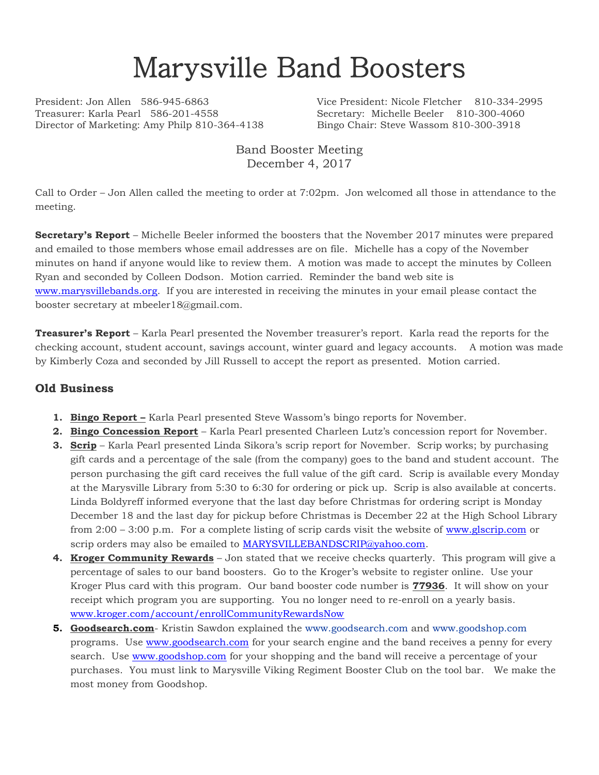# Marysville Band Boosters

Treasurer: Karla Pearl 586-201-4558 Secretary: Michelle Beeler 810-300-4060 Director of Marketing: Amy Philp 810-364-4138 Bingo Chair: Steve Wassom 810-300-3918

President: Jon Allen 586-945-6863 Vice President: Nicole Fletcher 810-334-2995

Band Booster Meeting December 4, 2017

Call to Order – Jon Allen called the meeting to order at 7:02pm. Jon welcomed all those in attendance to the meeting.

**Secretary's Report** – Michelle Beeler informed the boosters that the November 2017 minutes were prepared and emailed to those members whose email addresses are on file. Michelle has a copy of the November minutes on hand if anyone would like to review them. A motion was made to accept the minutes by Colleen Ryan and seconded by Colleen Dodson. Motion carried. Reminder the band web site is [www.marysvillebands.org.](http://www.marysvillebands.org/) If you are interested in receiving the minutes in your email please contact the booster secretary at mbeeler18@gmail.com.

**Treasurer's Report** – Karla Pearl presented the November treasurer's report. Karla read the reports for the checking account, student account, savings account, winter guard and legacy accounts. A motion was made by Kimberly Coza and seconded by Jill Russell to accept the report as presented. Motion carried.

#### **Old Business**

- **1. Bingo Report –** Karla Pearl presented Steve Wassom's bingo reports for November.
- **2. Bingo Concession Report** Karla Pearl presented Charleen Lutz's concession report for November.
- **3. Scrip** Karla Pearl presented Linda Sikora's scrip report for November. Scrip works; by purchasing gift cards and a percentage of the sale (from the company) goes to the band and student account. The person purchasing the gift card receives the full value of the gift card. Scrip is available every Monday at the Marysville Library from 5:30 to 6:30 for ordering or pick up. Scrip is also available at concerts. Linda Boldyreff informed everyone that the last day before Christmas for ordering script is Monday December 18 and the last day for pickup before Christmas is December 22 at the High School Library from 2:00 – 3:00 p.m. For a complete listing of scrip cards visit the website of [www.glscrip.com](http://www.glscrip.com/) or scrip orders may also be emailed to **MARYSVILLEBANDSCRIP@yahoo.com**.
- **4. Kroger Community Rewards** Jon stated that we receive checks quarterly. This program will give a percentage of sales to our band boosters. Go to the Kroger's website to register online. Use your Kroger Plus card with this program. Our band booster code number is **77936**. It will show on your receipt which program you are supporting. You no longer need to re-enroll on a yearly basis. [www.kroger.com/account/enrollCommunityRewardsNow](http://www.kroger.com/account/enrollCommunityRewardsNow)
- **5. Goodsearch.com** Kristin Sawdon explained the [www.goodsearch.com](http://www.goodsearch.com/) and [www.goodshop.com](http://www.goodshop.com/) programs. Use [www.goodsearch.com](http://www.goodsearch.com/) for your search engine and the band receives a penny for every search. Use [www.goodshop.com](http://www.goodshop.com/) for your shopping and the band will receive a percentage of your purchases. You must link to Marysville Viking Regiment Booster Club on the tool bar. We make the most money from Goodshop.